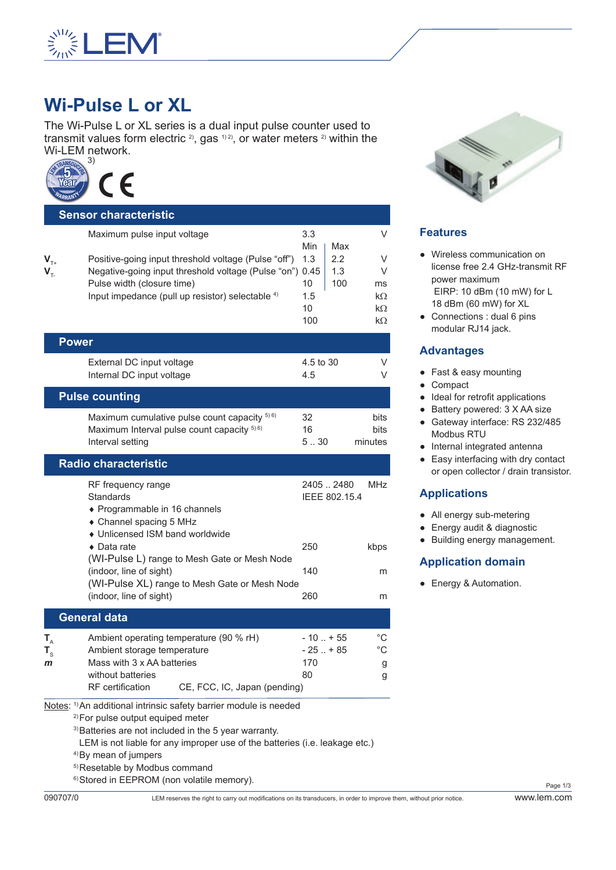

# **Wi-Pulse L or XL**

The Wi-Pulse L or XL series is a dual input pulse counter used to transmit values form electric  $2$ , gas  $1/2$ , or water meters  $2/2$  within the Wi-LEM network.



|                             | <b>Sensor characteristic</b>                                                                                                                                                                                                                 |                                             |                          |                                      |
|-----------------------------|----------------------------------------------------------------------------------------------------------------------------------------------------------------------------------------------------------------------------------------------|---------------------------------------------|--------------------------|--------------------------------------|
| $V_{T+}$<br>$V_{\tau}$      | Maximum pulse input voltage<br>Positive-going input threshold voltage (Pulse "off")<br>Negative-going input threshold voltage (Pulse "on") 0.45<br>Pulse width (closure time)<br>Input impedance (pull up resistor) selectable <sup>4)</sup> | 3.3<br>Min<br>1.3<br>10<br>1.5<br>10<br>100 | Max<br>2.2<br>1.3<br>100 | ν<br>V<br>ν<br>ms<br>kΩ<br>kΩ<br>kΩ  |
|                             | <b>Power</b>                                                                                                                                                                                                                                 |                                             |                          |                                      |
|                             | External DC input voltage<br>Internal DC input voltage                                                                                                                                                                                       | 4.5 to 30<br>4.5                            |                          | V<br>ν                               |
|                             | <b>Pulse counting</b>                                                                                                                                                                                                                        |                                             |                          |                                      |
|                             | Maximum cumulative pulse count capacity 5) 6)<br>Maximum Interval pulse count capacity 5) 6)<br>Interval setting                                                                                                                             | 32<br>16<br>5.30                            |                          | bits<br>bits<br>minutes              |
|                             | <b>Radio characteristic</b>                                                                                                                                                                                                                  |                                             |                          |                                      |
|                             | RF frequency range<br>Standards<br>◆ Programmable in 16 channels<br>• Channel spacing 5 MHz<br>• Unlicensed ISM band worldwide                                                                                                               | 24052480                                    | IEEE 802.15.4            | MHz                                  |
|                             | $\bullet$ Data rate<br>(WI-Pulse L) range to Mesh Gate or Mesh Node                                                                                                                                                                          | 250                                         |                          | kbps                                 |
|                             | (indoor, line of sight)<br>(WI-Pulse XL) range to Mesh Gate or Mesh Node                                                                                                                                                                     | 140                                         |                          | m                                    |
|                             | (indoor, line of sight)                                                                                                                                                                                                                      | 260                                         |                          | m                                    |
|                             | <b>General data</b>                                                                                                                                                                                                                          |                                             |                          |                                      |
| $T_{A}$<br>$T_{\rm s}$<br>m | Ambient operating temperature (90 % rH)<br>Ambient storage temperature<br>Mass with 3 x AA batteries<br>without batteries<br><b>RF</b> certification<br>CE, FCC, IC, Japan (pending)                                                         | $-10$ $+55$<br>$-25$ $+85$<br>170<br>80     |                          | $^{\circ}C$<br>$^{\circ}C$<br>g<br>g |
|                             | Notes: 1) An additional intrinsic safety barrier module is needed<br><sup>2)</sup> For pulse output equiped meter                                                                                                                            |                                             |                          |                                      |

3)Batteries are not included in the 5 year warranty.

- LEM is not liable for any improper use of the batteries (i.e. leakage etc.)
- 4)By mean of jumpers
- 5)Resetable by Modbus command
- 6)Stored in EEPROM (non volatile memory).



# **Features**

- Wireless communication on license free 2.4 GHz-transmit RF power maximum EIRP: 10 dBm (10 mW) for L 18 dBm (60 mW) for XL
- Connections : dual 6 pins modular RJ14 jack.

#### **Advantages**

- Fast & easy mounting
- Compact
- Ideal for retrofit applications
- Battery powered: 3 X AA size
- Gateway interface: RS 232/485 Modbus RTU
- Internal integrated antenna
- Easy interfacing with dry contact or open collector / drain transistor.

## **Applications**

- All energy sub-metering
- Energy audit & diagnostic
- Building energy management.

#### **Application domain**

● Energy & Automation.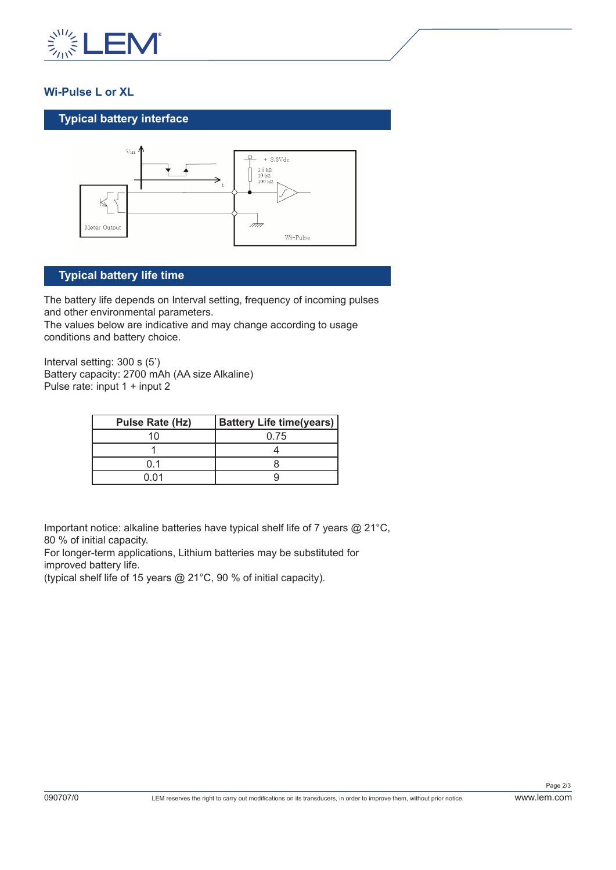

# **Wi-Pulse L or XL**

### **Typical battery interface**



# **Typical battery life time**

The battery life depends on Interval setting, frequency of incoming pulses and other environmental parameters.

The values below are indicative and may change according to usage conditions and battery choice.

Interval setting: 300 s (5') Battery capacity: 2700 mAh (AA size Alkaline) Pulse rate: input 1 + input 2

| Pulse Rate (Hz) | <b>Battery Life time(years)</b> |  |
|-----------------|---------------------------------|--|
|                 | 0.75                            |  |
|                 |                                 |  |
|                 |                                 |  |
| በ በ1            |                                 |  |

Important notice: alkaline batteries have typical shelf life of 7 years @ 21°C, 80 % of initial capacity.

For longer-term applications, Lithium batteries may be substituted for improved battery life.

(typical shelf life of 15 years @ 21°C, 90 % of initial capacity).